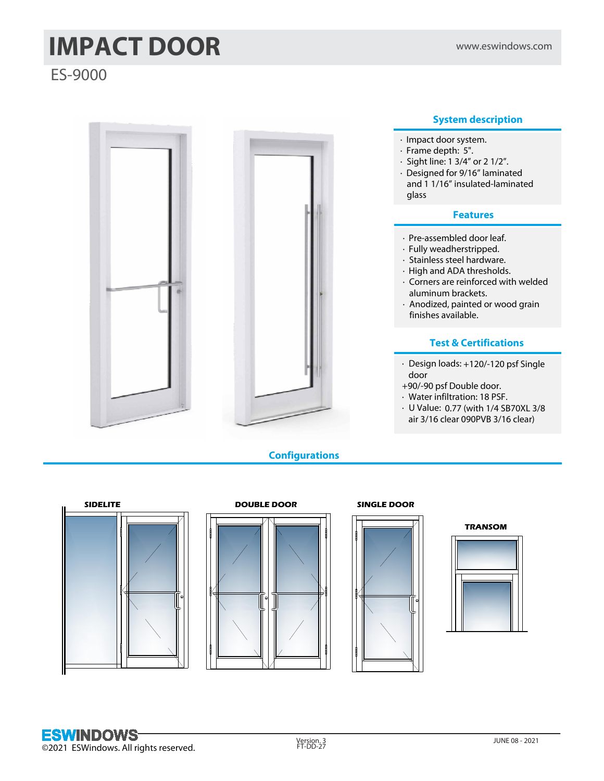# **IMPACT DOOR** www.eswindows.com

ES-9000



**Configurations**

# **System description**

- · Designed for 9/16" laminated and 1 1/16" insulated-laminated
- · Corners are reinforced with welded
- · Anodized, painted or wood grain

# **Test & Certifications**

- · Design loads: +120/-120 psf Single
- air 3/16 clear 090PVB 3/16 clear)







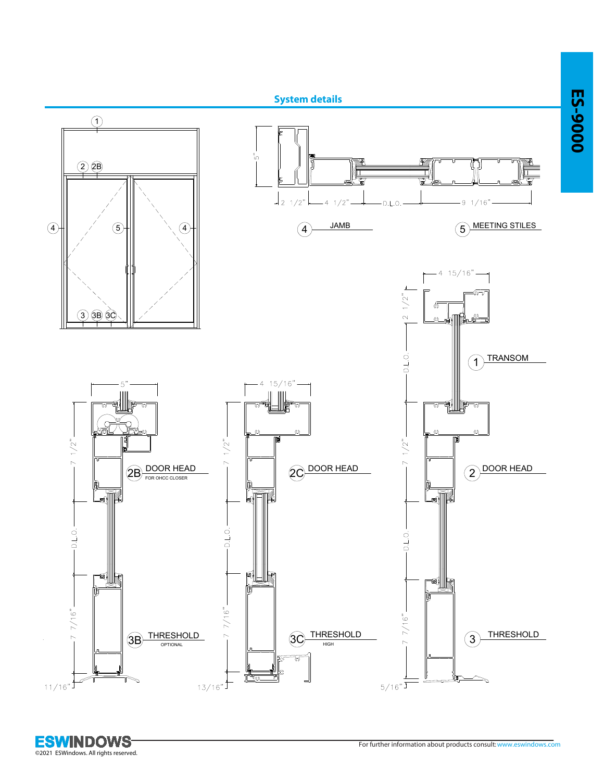

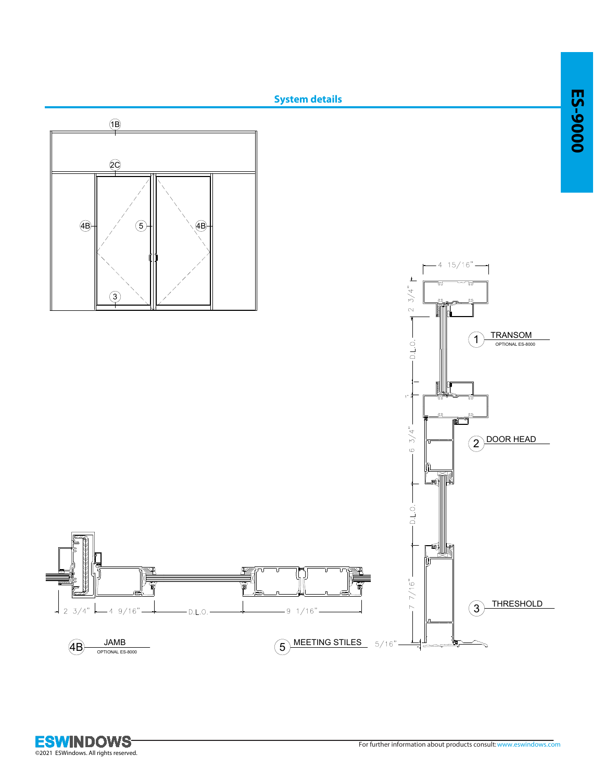

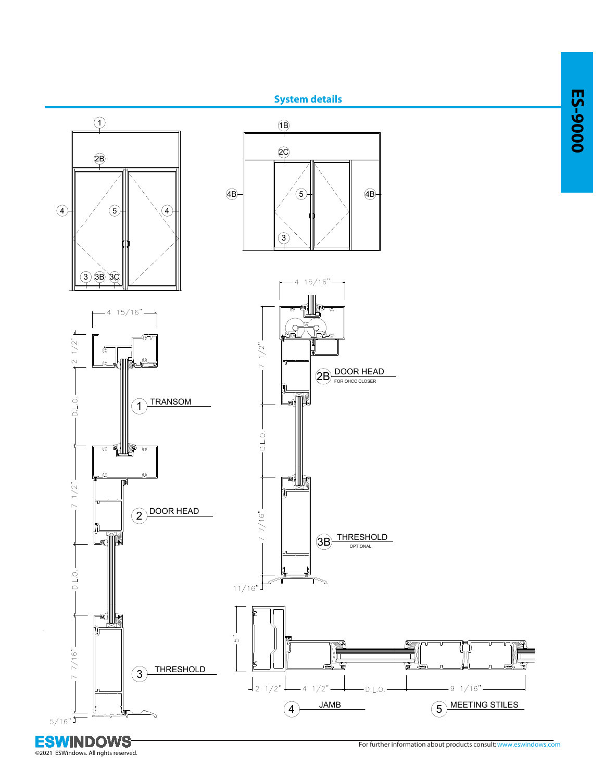

<u>Ъ,</u>  $5/16"$ <sup>T</sup>

**ESWINDOWS** 

©2021 ESWindows. All rights reserved.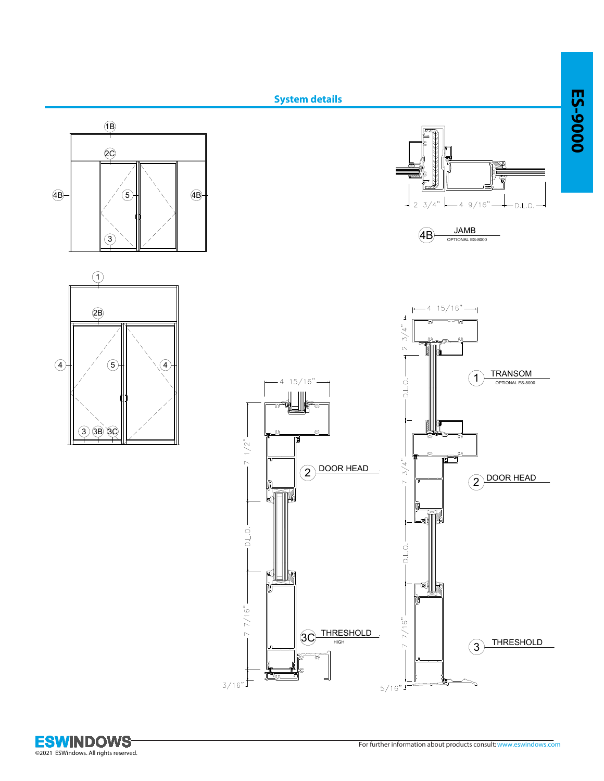



 $3/16"$ 

©2021 ESWindows. All rights reserved.

Щ.

 $5/16"$